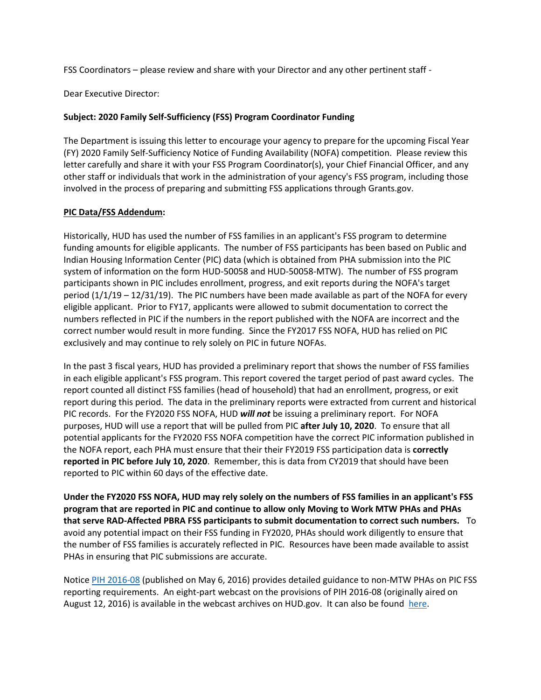FSS Coordinators – please review and share with your Director and any other pertinent staff -

Dear Executive Director:

## **Subject: 2020 Family Self-Sufficiency (FSS) Program Coordinator Funding**

The Department is issuing this letter to encourage your agency to prepare for the upcoming Fiscal Year (FY) 2020 Family Self-Sufficiency Notice of Funding Availability (NOFA) competition. Please review this letter carefully and share it with your FSS Program Coordinator(s), your Chief Financial Officer, and any other staff or individuals that work in the administration of your agency's FSS program, including those involved in the process of preparing and submitting FSS applications through Grants.gov.

## **PIC Data/FSS Addendum:**

Historically, HUD has used the number of FSS families in an applicant's FSS program to determine funding amounts for eligible applicants. The number of FSS participants has been based on Public and Indian Housing Information Center (PIC) data (which is obtained from PHA submission into the PIC system of information on the form HUD-50058 and HUD-50058-MTW). The number of FSS program participants shown in PIC includes enrollment, progress, and exit reports during the NOFA's target period (1/1/19 – 12/31/19). The PIC numbers have been made available as part of the NOFA for every eligible applicant. Prior to FY17, applicants were allowed to submit documentation to correct the numbers reflected in PIC if the numbers in the report published with the NOFA are incorrect and the correct number would result in more funding. Since the FY2017 FSS NOFA, HUD has relied on PIC exclusively and may continue to rely solely on PIC in future NOFAs.

In the past 3 fiscal years, HUD has provided a preliminary report that shows the number of FSS families in each eligible applicant's FSS program. This report covered the target period of past award cycles. The report counted all distinct FSS families (head of household) that had an enrollment, progress, or exit report during this period. The data in the preliminary reports were extracted from current and historical PIC records. For the FY2020 FSS NOFA, HUD *will not* be issuing a preliminary report. For NOFA purposes, HUD will use a report that will be pulled from PIC **after July 10, 2020**. To ensure that all potential applicants for the FY2020 FSS NOFA competition have the correct PIC information published in the NOFA report, each PHA must ensure that their their FY2019 FSS participation data is **correctly reported in PIC before July 10, 2020**. Remember, this is data from CY2019 that should have been reported to PIC within 60 days of the effective date.

**Under the FY2020 FSS NOFA, HUD may rely solely on the numbers of FSS families in an applicant's FSS program that are reported in PIC and continue to allow only Moving to Work MTW PHAs and PHAs that serve RAD-Affected PBRA FSS participants to submit documentation to correct such numbers.** To avoid any potential impact on their FSS funding in FY2020, PHAs should work diligently to ensure that the number of FSS families is accurately reflected in PIC. Resources have been made available to assist PHAs in ensuring that PIC submissions are accurate.

Notic[e PIH 2016-08](https://www.hud.gov/sites/documents/16-08PIHN.PDF) (published on May 6, 2016) provides detailed guidance to non-MTW PHAs on PIC FSS reporting requirements. An eight-part webcast on the provisions of PIH 2016-08 (originally aired on August 12, 2016) is available in the webcast archives on HUD.gov. It can also be found [here.](https://www.youtube.com/watch?v=uLbAisQGF0o)